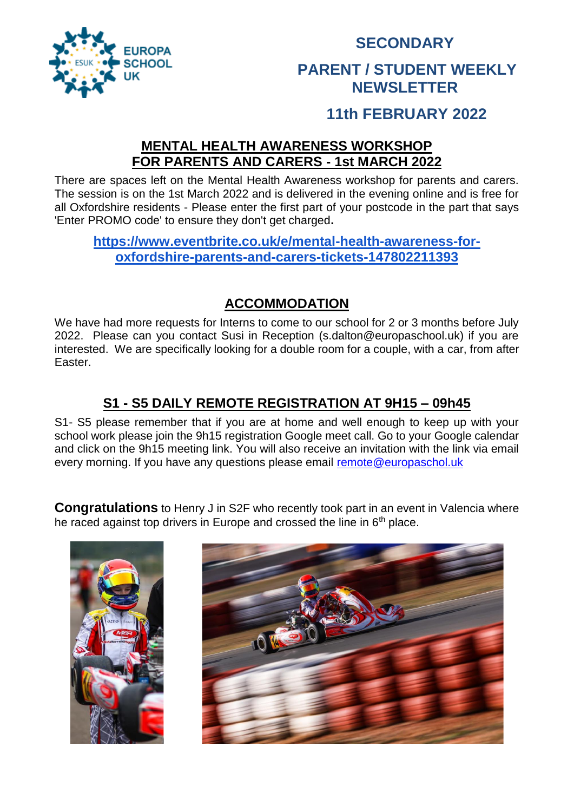

## **SECONDARY**

#### **PARENT / STUDENT WEEKLY NEWSLETTER**

### **11th FEBRUARY 2022**

#### **MENTAL HEALTH AWARENESS WORKSHOP FOR PARENTS AND CARERS - 1st MARCH 2022**

There are spaces left on the Mental Health Awareness workshop for parents and carers. The session is on the 1st March 2022 and is delivered in the evening online and is free for all Oxfordshire residents - Please enter the first part of your postcode in the part that says 'Enter PROMO code' to ensure they don't get charged**.** 

#### **[https://www.eventbrite.co.uk/e/mental-health-awareness-for](https://www.eventbrite.co.uk/e/mental-health-awareness-for-oxfordshire-parents-and-carers-tickets-147802211393)[oxfordshire-parents-and-carers-tickets-147802211393](https://www.eventbrite.co.uk/e/mental-health-awareness-for-oxfordshire-parents-and-carers-tickets-147802211393)**

#### **ACCOMMODATION**

We have had more requests for Interns to come to our school for 2 or 3 months before July 2022. Please can you contact Susi in Reception (s.dalton@europaschool.uk) if you are interested. We are specifically looking for a double room for a couple, with a car, from after Easter.

#### **S1 - S5 DAILY REMOTE REGISTRATION AT 9H15 – 09h45**

S1- S5 please remember that if you are at home and well enough to keep up with your school work please join the 9h15 registration Google meet call. Go to your Google calendar and click on the 9h15 meeting link. You will also receive an invitation with the link via email every morning. If you have any questions please email [remote@europaschol.uk](mailto:remote@europaschol.uk)

**Congratulations** to Henry J in S2F who recently took part in an event in Valencia where he raced against top drivers in Europe and crossed the line in 6<sup>th</sup> place.



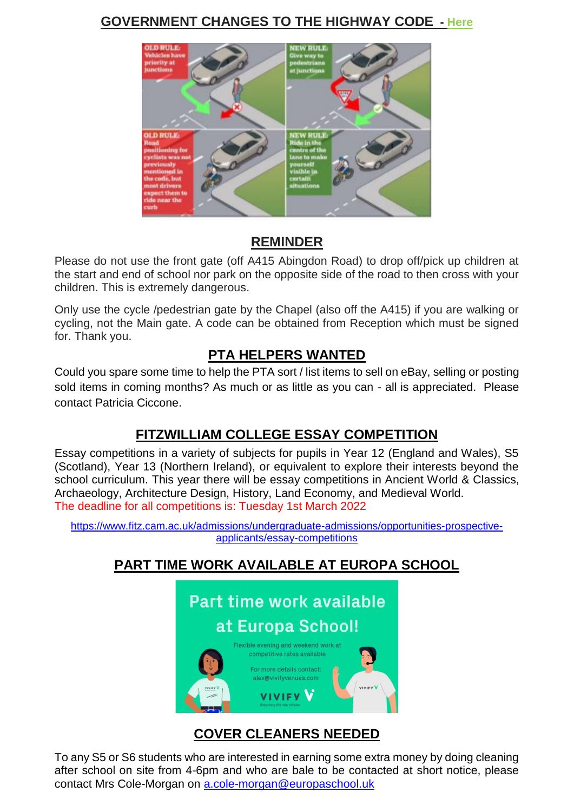#### **GOVERNMENT CHANGES TO THE HIGHWAY CODE - [Here](https://www.gov.uk/government/news/the-highway-code-8-changes-you-need-to-know-from-29-january-2022)**



#### **REMINDER**

Please do not use the front gate (off A415 Abingdon Road) to drop off/pick up children at the start and end of school nor park on the opposite side of the road to then cross with your children. This is extremely dangerous.

Only use the cycle /pedestrian gate by the Chapel (also off the A415) if you are walking or cycling, not the Main gate. A code can be obtained from Reception which must be signed for. Thank you.

#### **PTA HELPERS WANTED**

Could you spare some time to help the PTA sort / list items to sell on eBay, selling or posting sold items in coming months? As much or as little as you can - all is appreciated. Please contact Patricia Ciccone.

#### **FITZWILLIAM COLLEGE ESSAY COMPETITION**

Essay competitions in a variety of subjects for pupils in Year 12 (England and Wales), S5 (Scotland), Year 13 (Northern Ireland), or equivalent to explore their interests beyond the school curriculum. This year there will be essay competitions in Ancient World & Classics, Archaeology, Architecture Design, History, Land Economy, and Medieval World. The deadline for all competitions is: Tuesday 1st March 2022

[https://www.fitz.cam.ac.uk/admissions/undergraduate-admissions/opportunities-prospective](https://www.fitz.cam.ac.uk/admissions/undergraduate-admissions/opportunities-prospective-applicants/essay-competitions)[applicants/essay-competitions](https://www.fitz.cam.ac.uk/admissions/undergraduate-admissions/opportunities-prospective-applicants/essay-competitions)

### **PART TIME WORK AVAILABLE AT EUROPA SCHOOL**



#### **COVER CLEANERS NEEDED**

To any S5 or S6 students who are interested in earning some extra money by doing cleaning after school on site from 4-6pm and who are bale to be contacted at short notice, please contact Mrs Cole-Morgan on [a.cole-morgan@europaschool.uk](mailto:a.cole-morgan@europaschool.uk)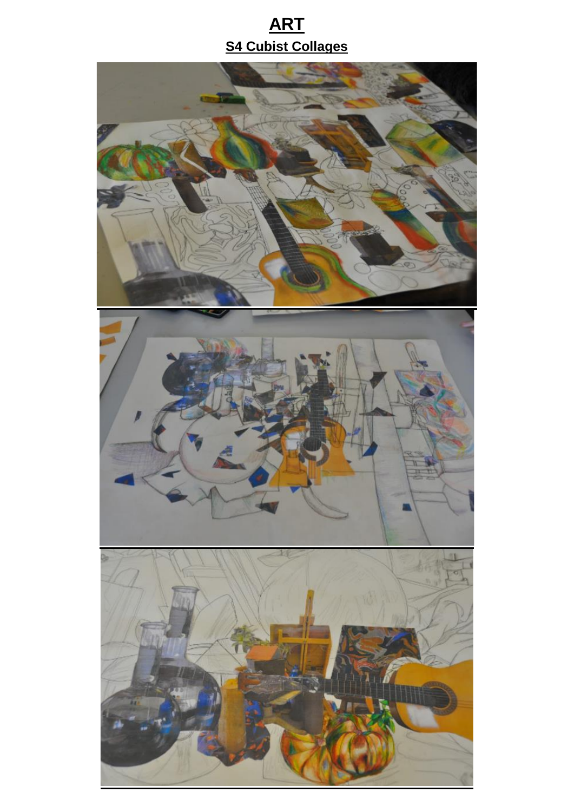## **ART S4 Cubist Collages**

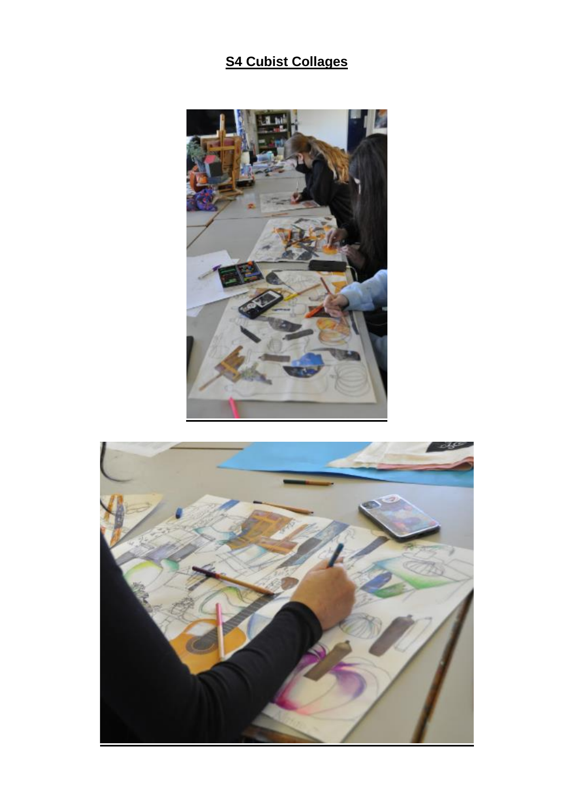### **S4 Cubist Collages**



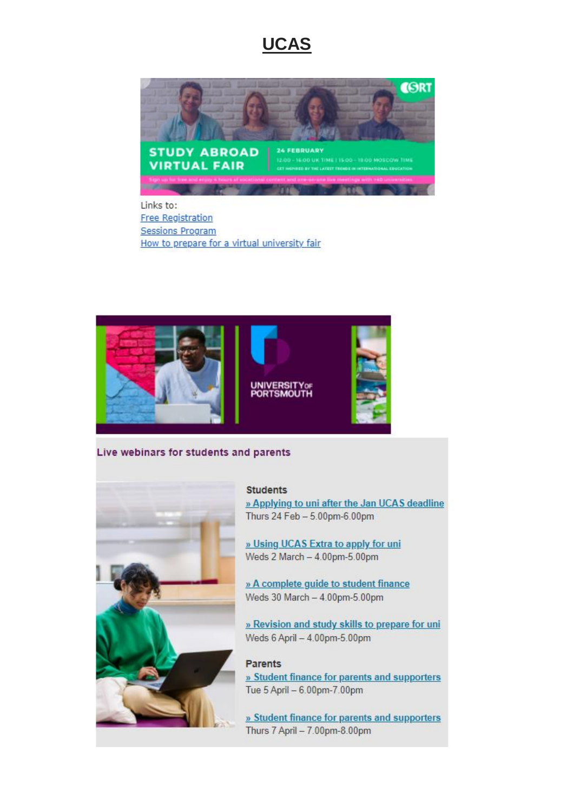### **UCAS**



Links to: **Free Registration Sessions Program** How to prepare for a virtual university fair



#### Live webinars for students and parents



**Students** 

» Applying to uni after the Jan UCAS deadline Thurs 24 Feb - 5.00pm-6.00pm

» Using UCAS Extra to apply for uni Weds 2 March - 4.00pm-5.00pm

» A complete guide to student finance Weds 30 March - 4.00pm-5.00pm

» Revision and study skills to prepare for uni-Weds 6 April - 4.00pm-5.00pm

#### **Parents**

» Student finance for parents and supporters Tue 5 April - 6.00pm-7.00pm

» Student finance for parents and supporters Thurs 7 April - 7.00pm-8.00pm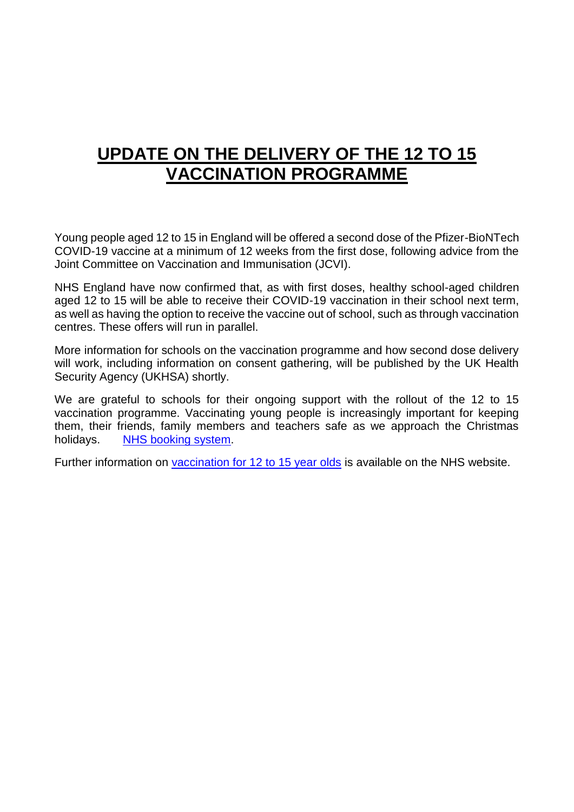## **UPDATE ON THE DELIVERY OF THE 12 TO 15 VACCINATION PROGRAMME**

Young people aged 12 to 15 in England will be offered a second dose of the Pfizer-BioNTech COVID-19 vaccine at a minimum of 12 weeks from the first dose, following advice from the Joint Committee on Vaccination and Immunisation (JCVI).

NHS England have now confirmed that, as with first doses, healthy school-aged children aged 12 to 15 will be able to receive their COVID-19 vaccination in their school next term, as well as having the option to receive the vaccine out of school, such as through vaccination centres. These offers will run in parallel.

More information for schools on the vaccination programme and how second dose delivery will work, including information on consent gathering, will be published by the UK Health Security Agency (UKHSA) shortly.

We are grateful to schools for their ongoing support with the rollout of the 12 to 15 vaccination programme. Vaccinating young people is increasingly important for keeping them, their friends, family members and teachers safe as we approach the Christmas holidays. [NHS booking system.](https://www.nhs.uk/conditions/coronavirus-covid-19/coronavirus-vaccination/book-coronavirus-vaccination/?utm_source=14%20December%202021%20C19&utm_medium=Daily%20Email%20C19&utm_campaign=DfE%20C19)

Further information on [vaccination for 12 to 15 year olds](https://www.nhs.uk/conditions/coronavirus-covid-19/coronavirus-vaccination/coronavirus-vaccine-for-children-aged-12-to-15/?utm_source=14%20December%202021%20C19&utm_medium=Daily%20Email%20C19&utm_campaign=DfE%20C19) is available on the NHS website.